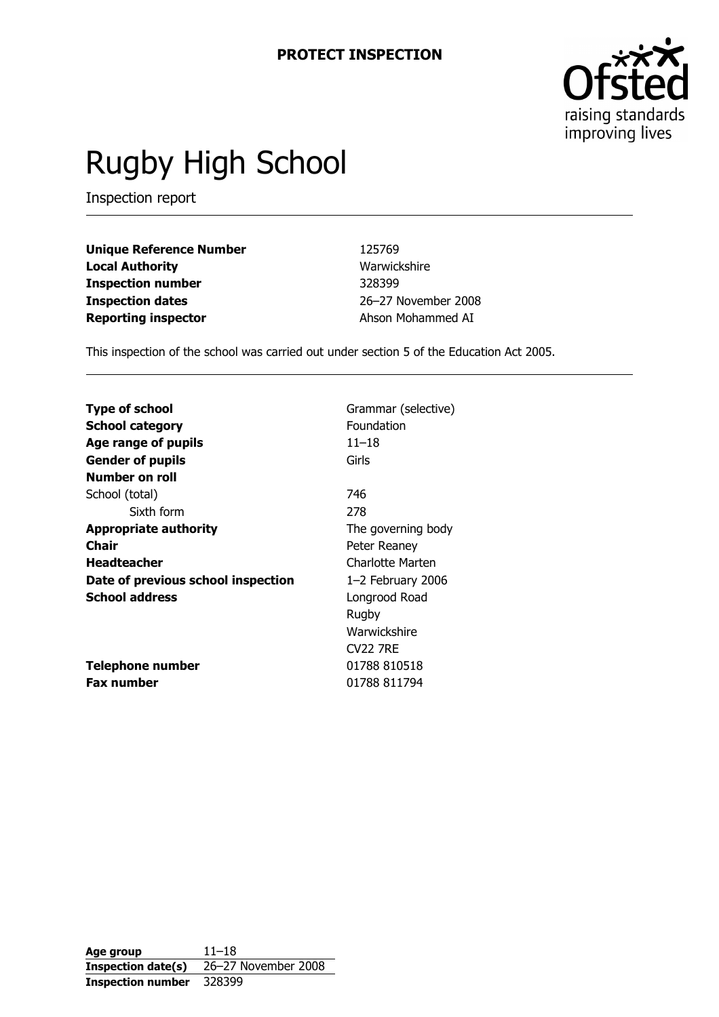### PROTECT INSPECTION



# Rugby High School

Inspection report

Unique Reference Number 125769 Local Authority **Manual Authority** Warwickshire Inspection number 328399 Inspection dates 26–27 November 2008 Reporting inspector and a set of the Ahson Mohammed AI

This inspection of the school was carried out under section 5 of the Education Act 2005.

| Grammar (selective)<br><b>Type of school</b><br>Foundation<br><b>School category</b><br>Age range of pupils<br>$11 - 18$ |                    |  |
|--------------------------------------------------------------------------------------------------------------------------|--------------------|--|
| <b>Gender of pupils</b>                                                                                                  | Girls              |  |
| Number on roll                                                                                                           |                    |  |
| School (total)                                                                                                           | 746                |  |
| Sixth form                                                                                                               | 278                |  |
| <b>Appropriate authority</b>                                                                                             | The governing body |  |
| <b>Chair</b>                                                                                                             | Peter Reaney       |  |
| <b>Headteacher</b>                                                                                                       | Charlotte Marten   |  |
| Date of previous school inspection<br>$1-2$ February 2006                                                                |                    |  |
| <b>School address</b>                                                                                                    | Longrood Road      |  |
|                                                                                                                          | Rugby              |  |
|                                                                                                                          | Warwickshire       |  |
|                                                                                                                          | <b>CV22 7RE</b>    |  |
| Telephone number                                                                                                         | 01788 810518       |  |
| <b>Fax number</b>                                                                                                        | 01788 811794       |  |

Age group  $11-18$ Inspection date(s) 26–27 November 2008 Inspection number 328399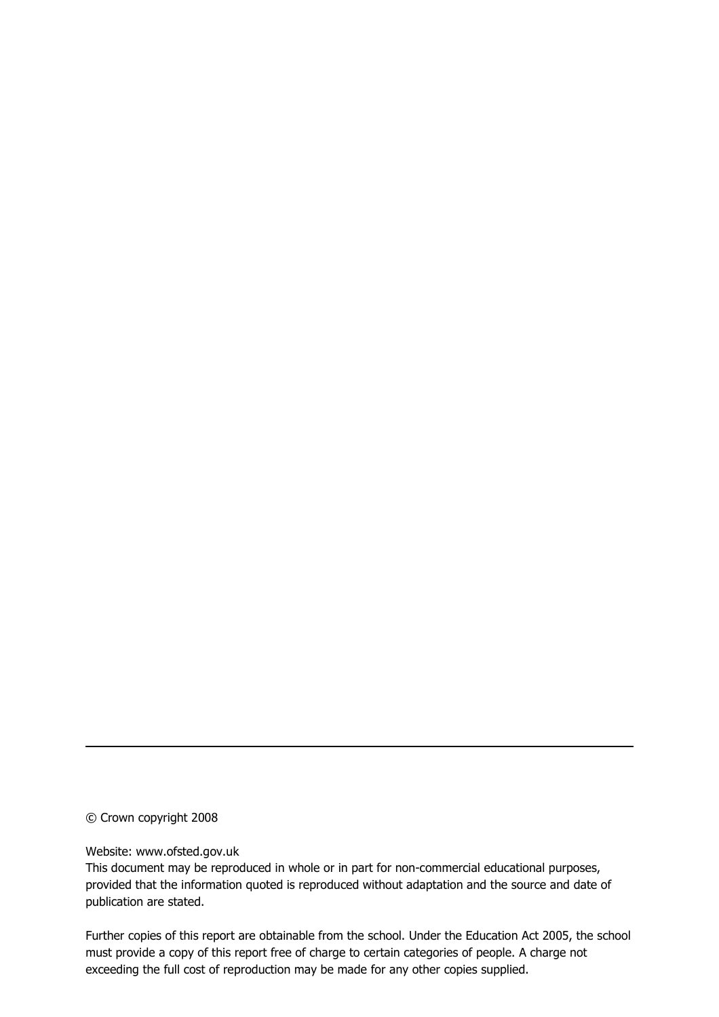© Crown copyright 2008

### Website: www.ofsted.gov.uk

This document may be reproduced in whole or in part for non-commercial educational purposes, provided that the information quoted is reproduced without adaptation and the source and date of publication are stated.

Further copies of this report are obtainable from the school. Under the Education Act 2005, the school must provide a copy of this report free of charge to certain categories of people. A charge not exceeding the full cost of reproduction may be made for any other copies supplied.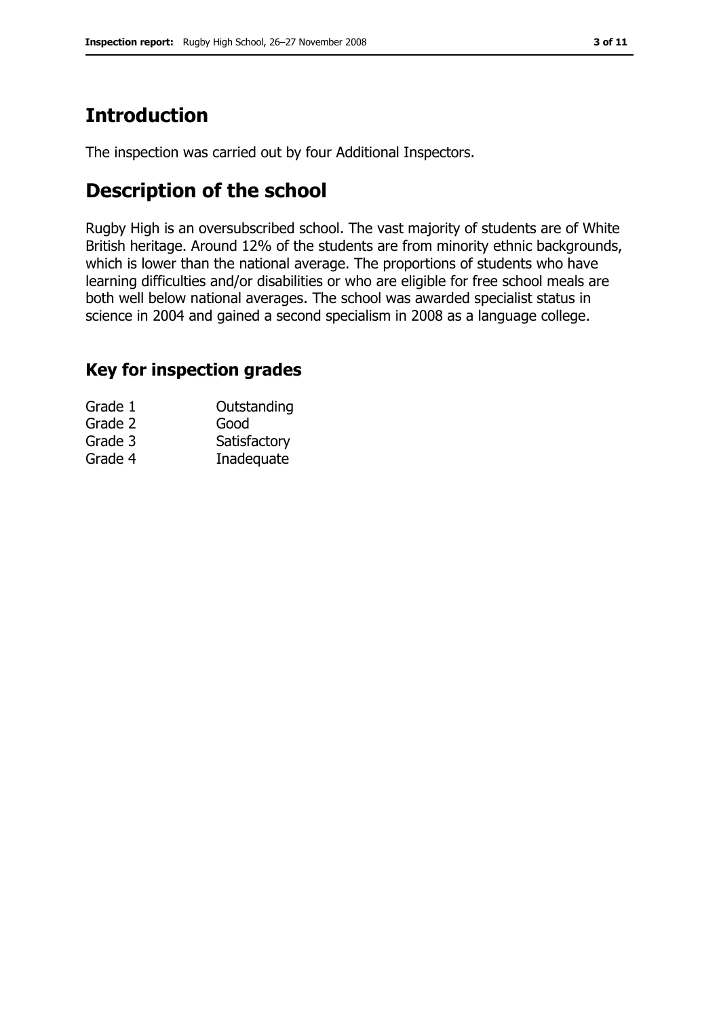# Introduction

The inspection was carried out by four Additional Inspectors.

## Description of the school

Rugby High is an oversubscribed school. The vast majority of students are of White British heritage. Around 12% of the students are from minority ethnic backgrounds, which is lower than the national average. The proportions of students who have learning difficulties and/or disabilities or who are eligible for free school meals are both well below national averages. The school was awarded specialist status in science in 2004 and gained a second specialism in 2008 as a language college.

### Key for inspection grades

| Grade 1 | Outstanding  |
|---------|--------------|
| Grade 2 | Good         |
| Grade 3 | Satisfactory |
| Grade 4 | Inadequate   |
|         |              |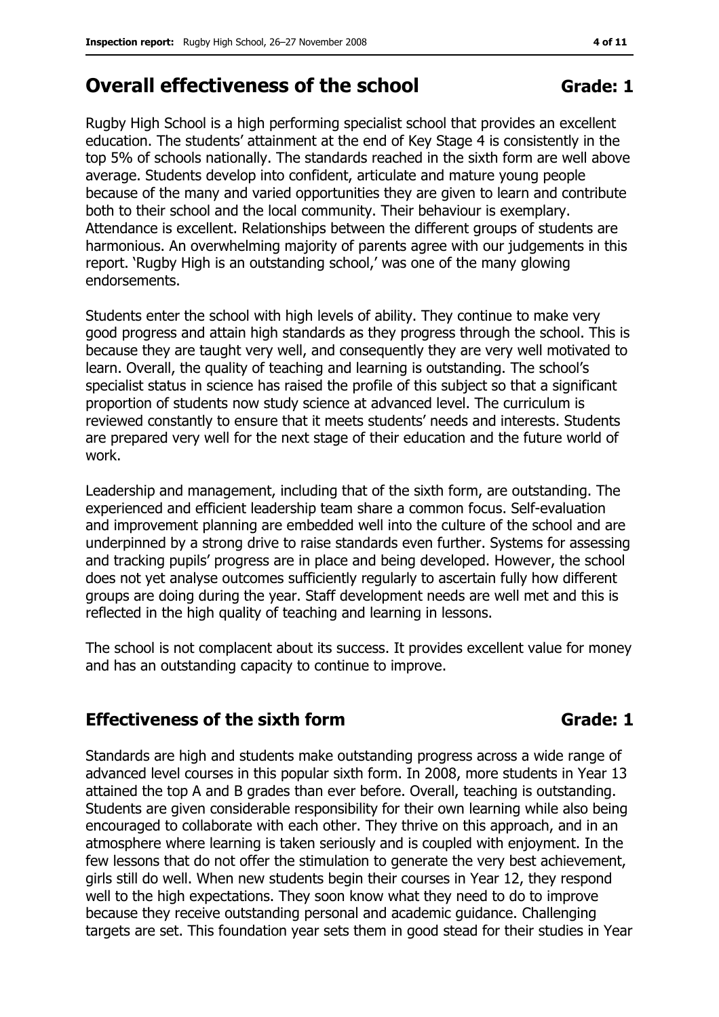## Overall effectiveness of the school Grade: 1

Rugby High School is a high performing specialist school that provides an excellent education. The students' attainment at the end of Key Stage 4 is consistently in the top 5% of schools nationally. The standards reached in the sixth form are well above average. Students develop into confident, articulate and mature young people because of the many and varied opportunities they are given to learn and contribute both to their school and the local community. Their behaviour is exemplary. Attendance is excellent. Relationships between the different groups of students are harmonious. An overwhelming majority of parents agree with our judgements in this report. 'Rugby High is an outstanding school,' was one of the many glowing endorsements.

Students enter the school with high levels of ability. They continue to make very good progress and attain high standards as they progress through the school. This is because they are taught very well, and consequently they are very well motivated to learn. Overall, the quality of teaching and learning is outstanding. The school's specialist status in science has raised the profile of this subject so that a significant proportion of students now study science at advanced level. The curriculum is reviewed constantly to ensure that it meets students' needs and interests. Students are prepared very well for the next stage of their education and the future world of work.

Leadership and management, including that of the sixth form, are outstanding. The experienced and efficient leadership team share a common focus. Self-evaluation and improvement planning are embedded well into the culture of the school and are underpinned by a strong drive to raise standards even further. Systems for assessing and tracking pupils' progress are in place and being developed. However, the school does not yet analyse outcomes sufficiently regularly to ascertain fully how different groups are doing during the year. Staff development needs are well met and this is reflected in the high quality of teaching and learning in lessons.

The school is not complacent about its success. It provides excellent value for money and has an outstanding capacity to continue to improve.

### **Effectiveness of the sixth form Community Community Community** Grade: 1

Standards are high and students make outstanding progress across a wide range of advanced level courses in this popular sixth form. In 2008, more students in Year 13 attained the top A and B grades than ever before. Overall, teaching is outstanding. Students are given considerable responsibility for their own learning while also being encouraged to collaborate with each other. They thrive on this approach, and in an atmosphere where learning is taken seriously and is coupled with enjoyment. In the few lessons that do not offer the stimulation to generate the very best achievement, girls still do well. When new students begin their courses in Year 12, they respond well to the high expectations. They soon know what they need to do to improve because they receive outstanding personal and academic guidance. Challenging targets are set. This foundation year sets them in good stead for their studies in Year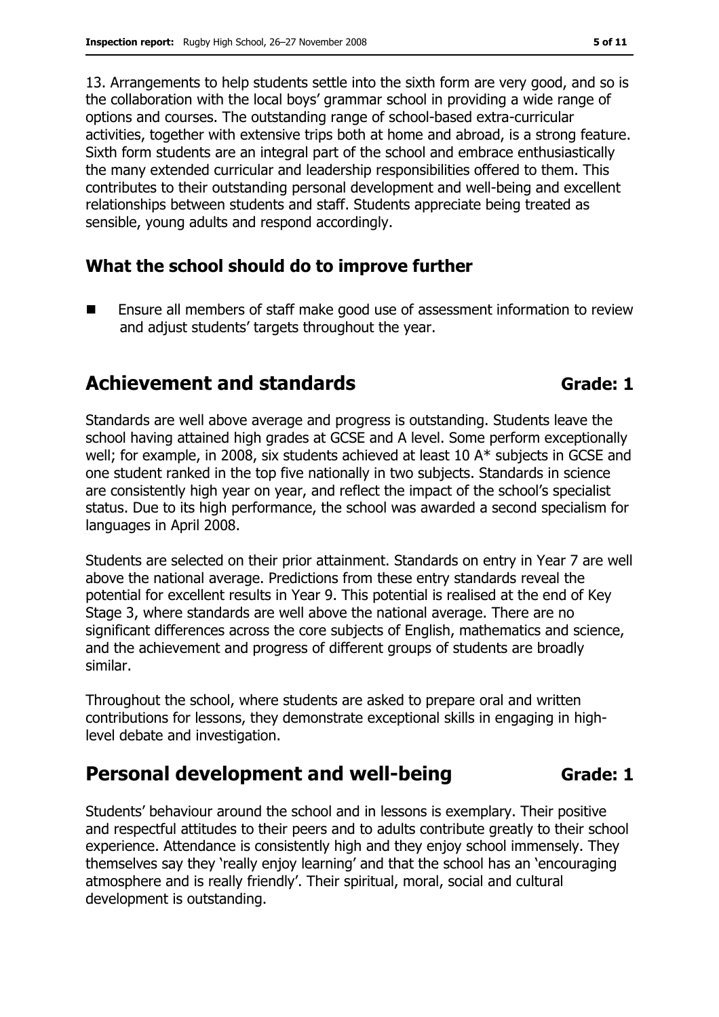13. Arrangements to help students settle into the sixth form are very good, and so is the collaboration with the local boys' grammar school in providing a wide range of options and courses. The outstanding range of school-based extra-curricular activities, together with extensive trips both at home and abroad, is a strong feature. Sixth form students are an integral part of the school and embrace enthusiastically the many extended curricular and leadership responsibilities offered to them. This contributes to their outstanding personal development and well-being and excellent relationships between students and staff. Students appreciate being treated as sensible, young adults and respond accordingly.

### What the school should do to improve further

■ Ensure all members of staff make good use of assessment information to review and adjust students' targets throughout the year.

### Achievement and standards and standards and Grade: 1

Standards are well above average and progress is outstanding. Students leave the school having attained high grades at GCSE and A level. Some perform exceptionally well; for example, in 2008, six students achieved at least 10 A\* subjects in GCSE and one student ranked in the top five nationally in two subjects. Standards in science are consistently high year on year, and reflect the impact of the school's specialist status. Due to its high performance, the school was awarded a second specialism for languages in April 2008.

Students are selected on their prior attainment. Standards on entry in Year 7 are well above the national average. Predictions from these entry standards reveal the potential for excellent results in Year 9. This potential is realised at the end of Key Stage 3, where standards are well above the national average. There are no significant differences across the core subjects of English, mathematics and science, and the achievement and progress of different groups of students are broadly similar.

Throughout the school, where students are asked to prepare oral and written contributions for lessons, they demonstrate exceptional skills in engaging in highlevel debate and investigation.

### Personal development and well-being France: 1

Students' behaviour around the school and in lessons is exemplary. Their positive and respectful attitudes to their peers and to adults contribute greatly to their school experience. Attendance is consistently high and they enjoy school immensely. They themselves say they 'really enjoy learning' and that the school has an 'encouraging atmosphere and is really friendly'. Their spiritual, moral, social and cultural development is outstanding.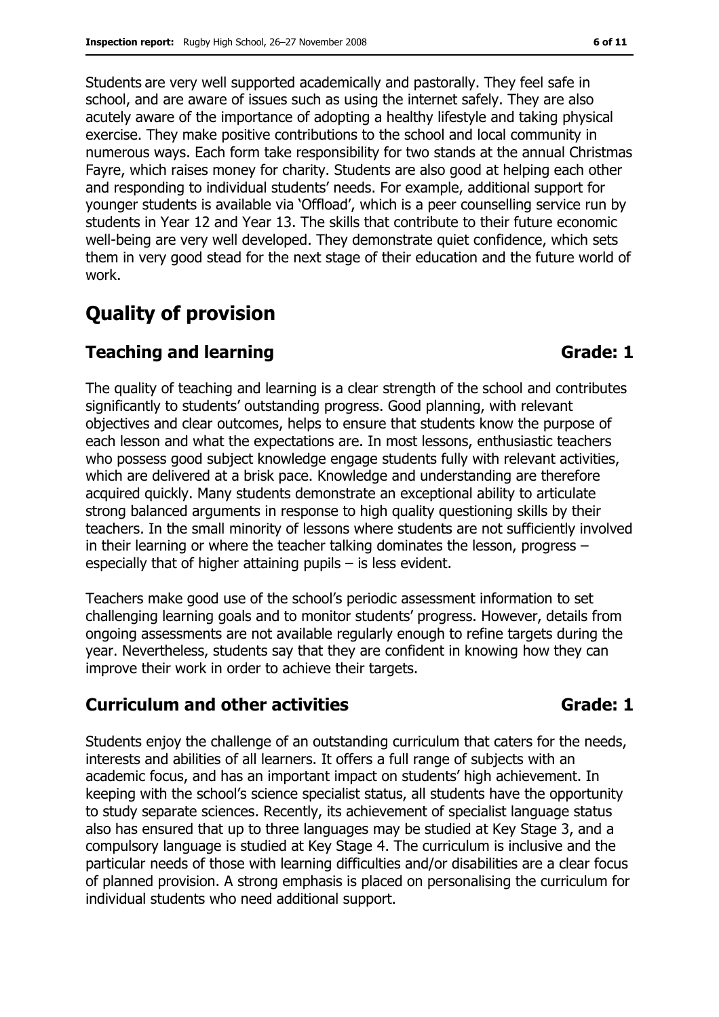Students are very well supported academically and pastorally. They feel safe in school, and are aware of issues such as using the internet safely. They are also acutely aware of the importance of adopting a healthy lifestyle and taking physical exercise. They make positive contributions to the school and local community in numerous ways. Each form take responsibility for two stands at the annual Christmas Fayre, which raises money for charity. Students are also good at helping each other and responding to individual students' needs. For example, additional support for younger students is available via 'Offload', which is a peer counselling service run by students in Year 12 and Year 13. The skills that contribute to their future economic well-being are very well developed. They demonstrate quiet confidence, which sets them in very good stead for the next stage of their education and the future world of work.

# Quality of provision

### Teaching and learning Grade: 1

The quality of teaching and learning is a clear strength of the school and contributes significantly to students' outstanding progress. Good planning, with relevant objectives and clear outcomes, helps to ensure that students know the purpose of each lesson and what the expectations are. In most lessons, enthusiastic teachers who possess good subject knowledge engage students fully with relevant activities, which are delivered at a brisk pace. Knowledge and understanding are therefore acquired quickly. Many students demonstrate an exceptional ability to articulate strong balanced arguments in response to high quality questioning skills by their teachers. In the small minority of lessons where students are not sufficiently involved in their learning or where the teacher talking dominates the lesson, progress – especially that of higher attaining pupils – is less evident.

Teachers make good use of the school's periodic assessment information to set challenging learning goals and to monitor students' progress. However, details from ongoing assessments are not available regularly enough to refine targets during the year. Nevertheless, students say that they are confident in knowing how they can improve their work in order to achieve their targets.

### Curriculum and other activities Curriculum and other activities

Students enjoy the challenge of an outstanding curriculum that caters for the needs, interests and abilities of all learners. It offers a full range of subjects with an academic focus, and has an important impact on students' high achievement. In keeping with the school's science specialist status, all students have the opportunity to study separate sciences. Recently, its achievement of specialist language status also has ensured that up to three languages may be studied at Key Stage 3, and a compulsory language is studied at Key Stage 4. The curriculum is inclusive and the particular needs of those with learning difficulties and/or disabilities are a clear focus of planned provision. A strong emphasis is placed on personalising the curriculum for individual students who need additional support.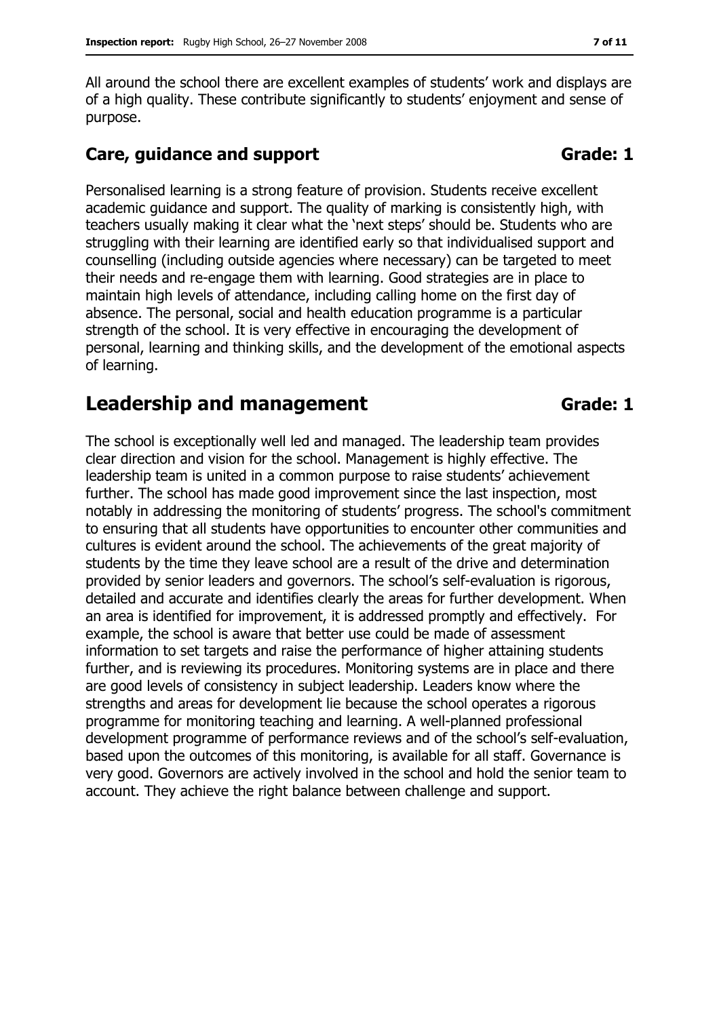All around the school there are excellent examples of students' work and displays are of a high quality. These contribute significantly to students' enjoyment and sense of purpose.

### Care, guidance and support Grade: 1

Personalised learning is a strong feature of provision. Students receive excellent academic guidance and support. The quality of marking is consistently high, with teachers usually making it clear what the 'next steps' should be. Students who are struggling with their learning are identified early so that individualised support and counselling (including outside agencies where necessary) can be targeted to meet their needs and re-engage them with learning. Good strategies are in place to maintain high levels of attendance, including calling home on the first day of absence. The personal, social and health education programme is a particular strength of the school. It is very effective in encouraging the development of personal, learning and thinking skills, and the development of the emotional aspects of learning.

### Leadership and management Grade: 1

The school is exceptionally well led and managed. The leadership team provides clear direction and vision for the school. Management is highly effective. The leadership team is united in a common purpose to raise students' achievement further. The school has made good improvement since the last inspection, most notably in addressing the monitoring of students' progress. The school's commitment to ensuring that all students have opportunities to encounter other communities and cultures is evident around the school. The achievements of the great majority of students by the time they leave school are a result of the drive and determination provided by senior leaders and governors. The school's self-evaluation is rigorous, detailed and accurate and identifies clearly the areas for further development. When an area is identified for improvement, it is addressed promptly and effectively. For example, the school is aware that better use could be made of assessment information to set targets and raise the performance of higher attaining students further, and is reviewing its procedures. Monitoring systems are in place and there are good levels of consistency in subject leadership. Leaders know where the strengths and areas for development lie because the school operates a rigorous programme for monitoring teaching and learning. A well-planned professional development programme of performance reviews and of the school's self-evaluation, based upon the outcomes of this monitoring, is available for all staff. Governance is very good. Governors are actively involved in the school and hold the senior team to account. They achieve the right balance between challenge and support.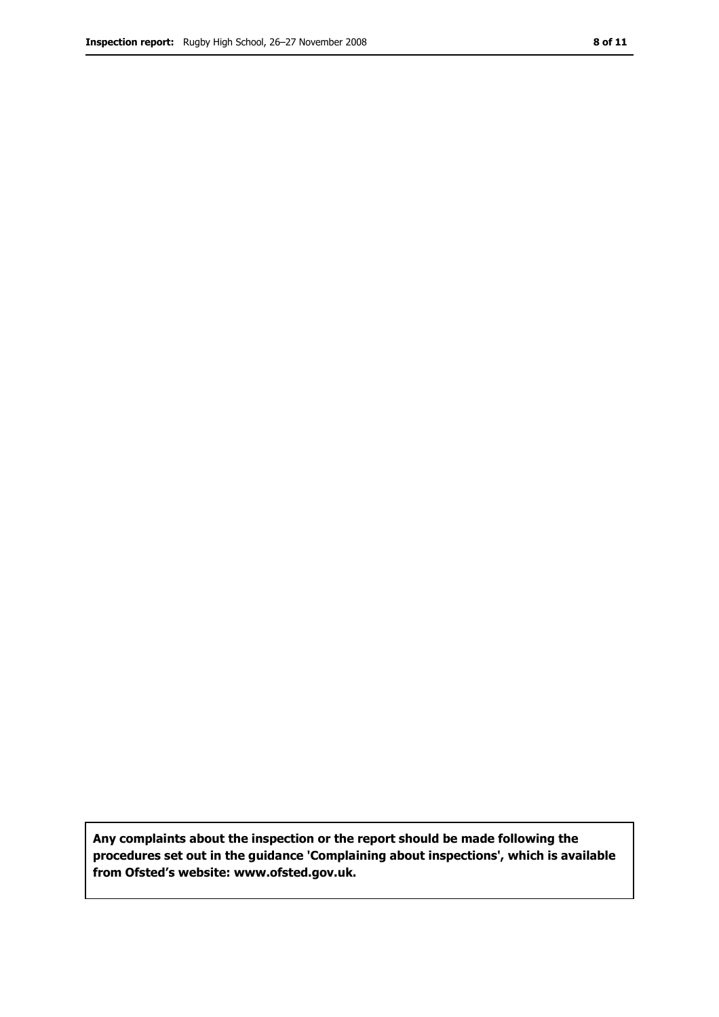Any complaints about the inspection or the report should be made following the procedures set out in the guidance 'Complaining about inspections', which is available from Ofsted's website: www.ofsted.gov.uk.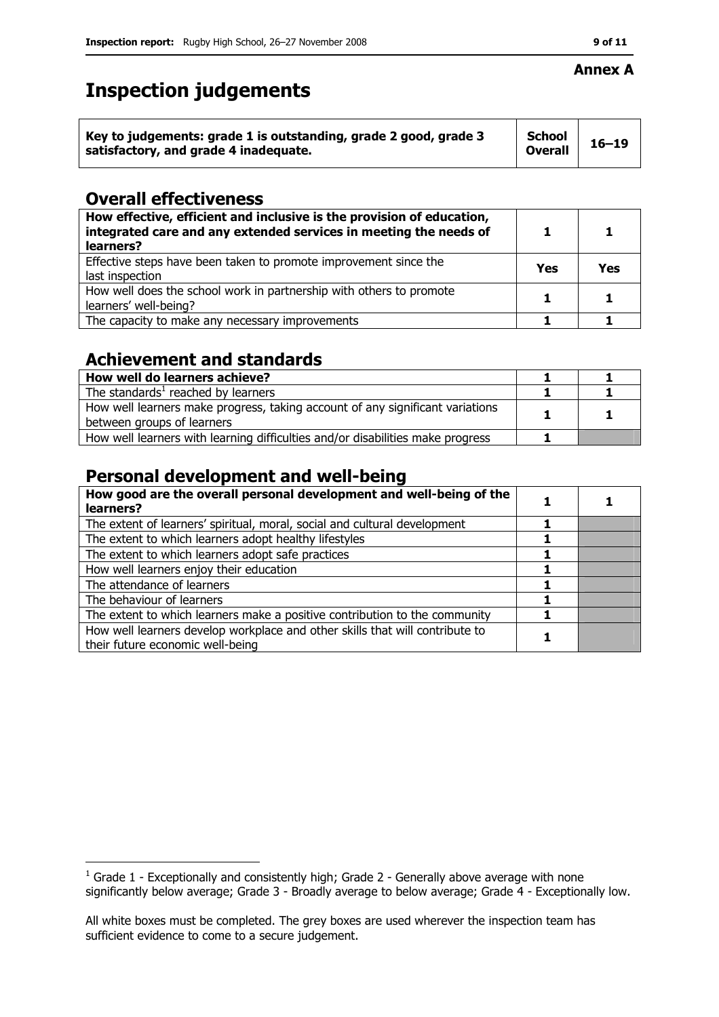# Inspection judgements

| Key to judgements: grade 1 is outstanding, grade 2 good, grade 3<br>satisfactory, and grade 4 inadequate. | <b>School</b><br><b>Overall</b> | $16 - 19$ |  |
|-----------------------------------------------------------------------------------------------------------|---------------------------------|-----------|--|
|-----------------------------------------------------------------------------------------------------------|---------------------------------|-----------|--|

### Overall effectiveness

| How effective, efficient and inclusive is the provision of education,<br>integrated care and any extended services in meeting the needs of<br>learners? |     |     |
|---------------------------------------------------------------------------------------------------------------------------------------------------------|-----|-----|
| Effective steps have been taken to promote improvement since the<br>last inspection                                                                     | Yes | Yes |
| How well does the school work in partnership with others to promote<br>learners' well-being?                                                            |     |     |
| The capacity to make any necessary improvements                                                                                                         |     |     |

### Achievement and standards

| How well do learners achieve?                                                  |  |
|--------------------------------------------------------------------------------|--|
| The standards $1$ reached by learners                                          |  |
| How well learners make progress, taking account of any significant variations  |  |
| between groups of learners                                                     |  |
| How well learners with learning difficulties and/or disabilities make progress |  |

### Personal development and well-being

| How good are the overall personal development and well-being of the<br>learners?                                 |  |  |
|------------------------------------------------------------------------------------------------------------------|--|--|
| The extent of learners' spiritual, moral, social and cultural development                                        |  |  |
| The extent to which learners adopt healthy lifestyles                                                            |  |  |
| The extent to which learners adopt safe practices                                                                |  |  |
| How well learners enjoy their education                                                                          |  |  |
| The attendance of learners                                                                                       |  |  |
| The behaviour of learners                                                                                        |  |  |
| The extent to which learners make a positive contribution to the community                                       |  |  |
| How well learners develop workplace and other skills that will contribute to<br>their future economic well-being |  |  |

### Annex A

 1 Grade 1 - Exceptionally and consistently high; Grade 2 - Generally above average with none significantly below average; Grade 3 - Broadly average to below average; Grade 4 - Exceptionally low.

All white boxes must be completed. The grey boxes are used wherever the inspection team has sufficient evidence to come to a secure judgement.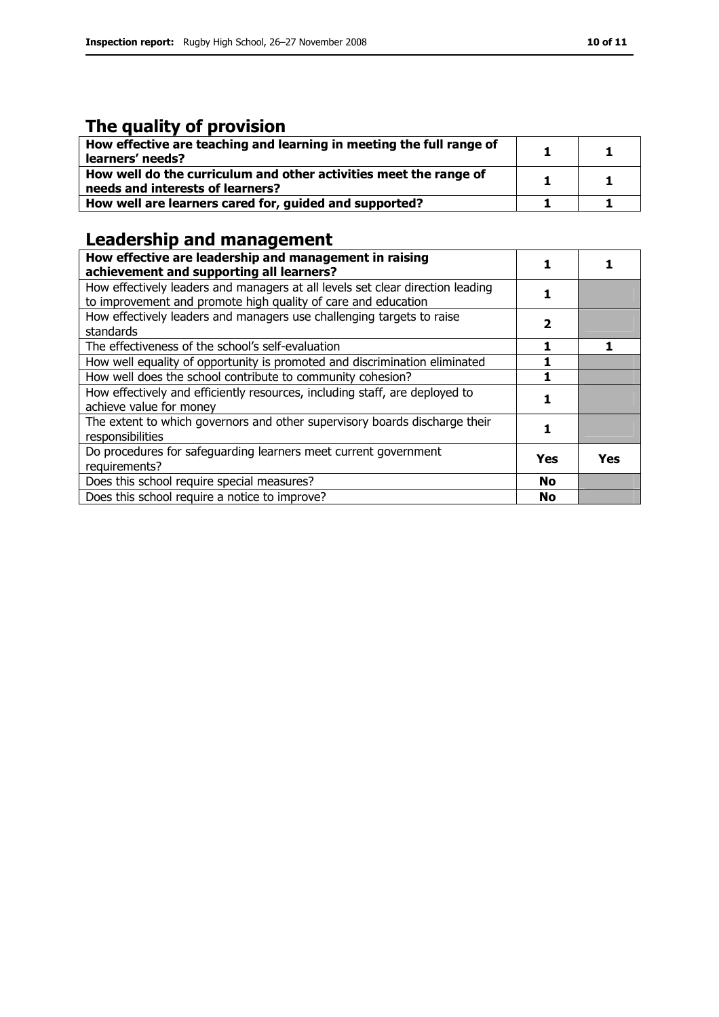## The quality of provision

| How effective are teaching and learning in meeting the full range of<br>learners' needs?              |  |
|-------------------------------------------------------------------------------------------------------|--|
| How well do the curriculum and other activities meet the range of<br>needs and interests of learners? |  |
| How well are learners cared for, guided and supported?                                                |  |

# Leadership and management

| How effective are leadership and management in raising<br>achievement and supporting all learners?                                              |           |     |
|-------------------------------------------------------------------------------------------------------------------------------------------------|-----------|-----|
| How effectively leaders and managers at all levels set clear direction leading<br>to improvement and promote high quality of care and education |           |     |
| How effectively leaders and managers use challenging targets to raise<br>standards                                                              | 2         |     |
| The effectiveness of the school's self-evaluation                                                                                               |           |     |
| How well equality of opportunity is promoted and discrimination eliminated                                                                      |           |     |
| How well does the school contribute to community cohesion?                                                                                      |           |     |
| How effectively and efficiently resources, including staff, are deployed to<br>achieve value for money                                          |           |     |
| The extent to which governors and other supervisory boards discharge their<br>responsibilities                                                  |           |     |
| Do procedures for safeguarding learners meet current government<br>requirements?                                                                | Yes       | Yes |
| Does this school require special measures?                                                                                                      | <b>No</b> |     |
| Does this school require a notice to improve?                                                                                                   | No        |     |